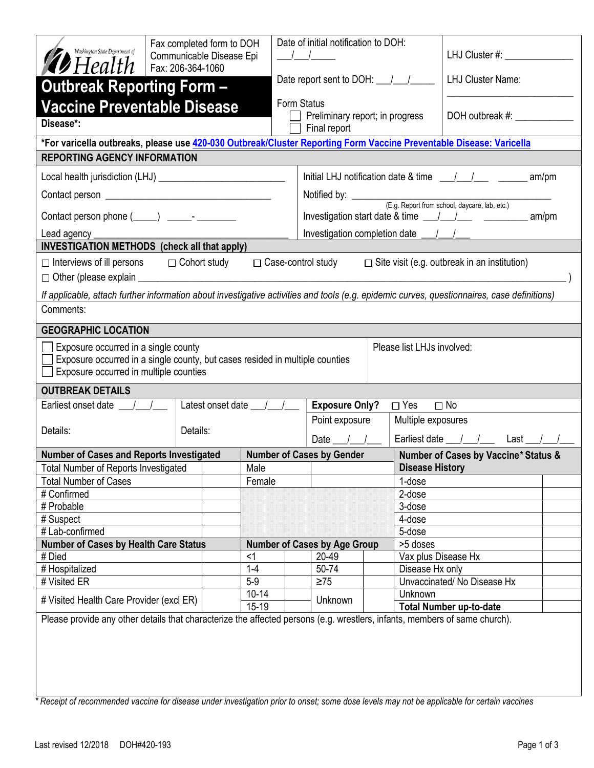| Washington State Department of<br>$\mathcal{\mathscr{D}}$ Health                                                                                                                                                |                                                       | Fax completed form to DOH<br>Communicable Disease Epi<br>Fax: 206-364-1060 |         |                                                                | Date of initial notification to DOH:<br>$\frac{1}{\sqrt{2}}$ |                                |                                                              | LHJ Cluster #: ______________                         |       |  |
|-----------------------------------------------------------------------------------------------------------------------------------------------------------------------------------------------------------------|-------------------------------------------------------|----------------------------------------------------------------------------|---------|----------------------------------------------------------------|--------------------------------------------------------------|--------------------------------|--------------------------------------------------------------|-------------------------------------------------------|-------|--|
| <b>Outbreak Reporting Form -</b>                                                                                                                                                                                |                                                       |                                                                            |         | Date report sent to DOH: 1/2/2020                              |                                                              |                                |                                                              | <b>LHJ Cluster Name:</b>                              |       |  |
| <b>Vaccine Preventable Disease</b><br>Disease*:                                                                                                                                                                 |                                                       |                                                                            |         | Form Status<br>Preliminary report; in progress<br>Final report |                                                              |                                |                                                              | DOH outbreak #:                                       |       |  |
| *For varicella outbreaks, please use 420-030 Outbreak/Cluster Reporting Form Vaccine Preventable Disease: Varicella                                                                                             |                                                       |                                                                            |         |                                                                |                                                              |                                |                                                              |                                                       |       |  |
| <b>REPORTING AGENCY INFORMATION</b>                                                                                                                                                                             |                                                       |                                                                            |         |                                                                |                                                              |                                |                                                              |                                                       |       |  |
|                                                                                                                                                                                                                 |                                                       |                                                                            |         |                                                                |                                                              |                                |                                                              | Initial LHJ notification date & time ___/__/___ _____ | am/pm |  |
|                                                                                                                                                                                                                 |                                                       |                                                                            |         |                                                                |                                                              |                                |                                                              |                                                       |       |  |
| Contact person phone (_____) _______- _________                                                                                                                                                                 |                                                       |                                                                            |         |                                                                |                                                              |                                |                                                              |                                                       |       |  |
| Lead agency                                                                                                                                                                                                     |                                                       |                                                                            |         |                                                                |                                                              |                                |                                                              |                                                       |       |  |
| <b>INVESTIGATION METHODS</b> (check all that apply)                                                                                                                                                             |                                                       |                                                                            |         |                                                                |                                                              |                                |                                                              |                                                       |       |  |
| $\Box$ Interviews of ill persons<br>$\Box$ Other (please explain<br>If applicable, attach further information about investigative activities and tools (e.g. epidemic curves, questionnaires, case definitions) |                                                       | $\Box$ Cohort study                                                        |         |                                                                | □ Case-control study                                         |                                |                                                              | $\Box$ Site visit (e.g. outbreak in an institution)   |       |  |
| Comments:                                                                                                                                                                                                       |                                                       |                                                                            |         |                                                                |                                                              |                                |                                                              |                                                       |       |  |
| <b>GEOGRAPHIC LOCATION</b>                                                                                                                                                                                      |                                                       |                                                                            |         |                                                                |                                                              |                                |                                                              |                                                       |       |  |
| Exposure occurred in a single county<br>Exposure occurred in a single county, but cases resided in multiple counties<br>Exposure occurred in multiple counties                                                  |                                                       |                                                                            |         |                                                                |                                                              |                                | Please list LHJs involved:                                   |                                                       |       |  |
| <b>OUTBREAK DETAILS</b>                                                                                                                                                                                         |                                                       |                                                                            |         |                                                                |                                                              |                                |                                                              |                                                       |       |  |
| Earliest onset date $\frac{1}{2}$ /                                                                                                                                                                             |                                                       | Latest onset date $\frac{1}{\sqrt{2}}$                                     |         |                                                                | <b>Exposure Only?</b>                                        |                                | $\Box$ Yes                                                   | $\Box$ No                                             |       |  |
|                                                                                                                                                                                                                 | Details:                                              |                                                                            |         |                                                                | Point exposure<br>Date $/$ /                                 |                                | Multiple exposures                                           |                                                       |       |  |
| Details:                                                                                                                                                                                                        |                                                       |                                                                            |         |                                                                |                                                              |                                | Earliest date $\frac{1}{\sqrt{2}}$ Last $\frac{1}{\sqrt{2}}$ |                                                       |       |  |
| <b>Number of Cases and Reports Investigated</b>                                                                                                                                                                 |                                                       |                                                                            |         |                                                                | <b>Number of Cases by Gender</b>                             |                                | <b>Number of Cases by Vaccine* Status &amp;</b>              |                                                       |       |  |
| Total Number of Reports Investigated                                                                                                                                                                            |                                                       |                                                                            | Male    |                                                                |                                                              |                                | <b>Disease History</b>                                       |                                                       |       |  |
| <b>Total Number of Cases</b>                                                                                                                                                                                    |                                                       |                                                                            | Female  |                                                                |                                                              |                                | 1-dose                                                       |                                                       |       |  |
|                                                                                                                                                                                                                 |                                                       |                                                                            |         |                                                                |                                                              |                                | 2-dose                                                       |                                                       |       |  |
| # Confirmed                                                                                                                                                                                                     |                                                       |                                                                            |         |                                                                |                                                              | 3-dose                         |                                                              |                                                       |       |  |
| # Probable                                                                                                                                                                                                      |                                                       |                                                                            |         |                                                                |                                                              | 4-dose                         |                                                              |                                                       |       |  |
| # Suspect<br># Lab-confirmed                                                                                                                                                                                    |                                                       |                                                                            |         |                                                                |                                                              |                                | 5-dose                                                       |                                                       |       |  |
|                                                                                                                                                                                                                 |                                                       |                                                                            |         |                                                                |                                                              |                                | >5 doses                                                     |                                                       |       |  |
| <b>Number of Cases by Health Care Status</b><br># Died                                                                                                                                                          |                                                       |                                                                            | <1      |                                                                | <b>Number of Cases by Age Group</b><br>20-49                 |                                |                                                              |                                                       |       |  |
|                                                                                                                                                                                                                 |                                                       |                                                                            | $1 - 4$ |                                                                | 50-74                                                        |                                | Vax plus Disease Hx                                          |                                                       |       |  |
| # Hospitalized                                                                                                                                                                                                  |                                                       |                                                                            |         |                                                                |                                                              |                                | Disease Hx only                                              |                                                       |       |  |
| $5-9$<br># Visited ER                                                                                                                                                                                           |                                                       |                                                                            |         | $\geq 75$                                                      |                                                              |                                | Unknown                                                      | Unvaccinated/No Disease Hx                            |       |  |
|                                                                                                                                                                                                                 | $10 - 14$<br># Visited Health Care Provider (excl ER) |                                                                            |         |                                                                | Unknown                                                      |                                |                                                              |                                                       |       |  |
| $15-19$<br>Please provide any other details that characterize the affected persons (e.g. wrestlers, infants, members of same church).                                                                           |                                                       |                                                                            |         |                                                                |                                                              | <b>Total Number up-to-date</b> |                                                              |                                                       |       |  |
|                                                                                                                                                                                                                 |                                                       |                                                                            |         |                                                                |                                                              |                                |                                                              |                                                       |       |  |

*\* Receipt of recommended vaccine for disease under investigation prior to onset; some dose levels may not be applicable for certain vaccines*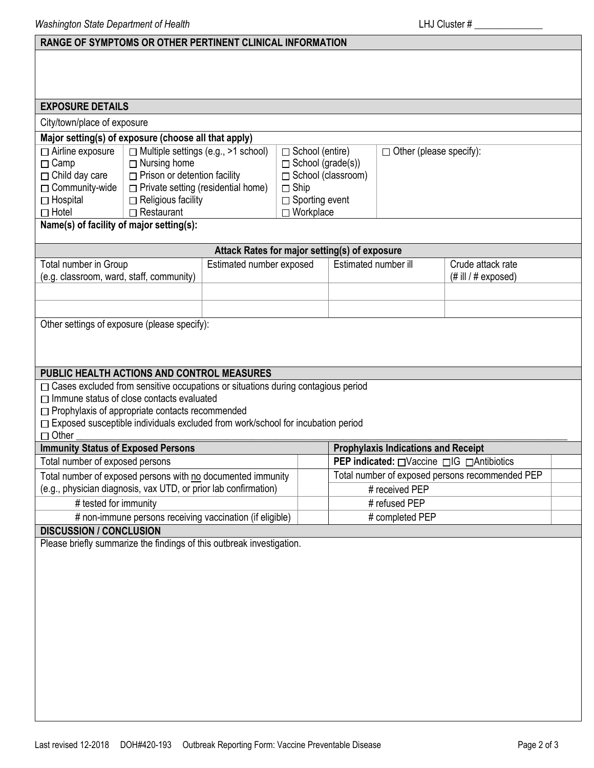## **RANGE OF SYMPTOMS OR OTHER PERTINENT CLINICAL INFORMATION**

| <b>EXPOSURE DETAILS</b>                                                                |                                                                                                               |                                                                                         |                                                              |                      |                                            |                                                   |  |  |
|----------------------------------------------------------------------------------------|---------------------------------------------------------------------------------------------------------------|-----------------------------------------------------------------------------------------|--------------------------------------------------------------|----------------------|--------------------------------------------|---------------------------------------------------|--|--|
| City/town/place of exposure                                                            |                                                                                                               |                                                                                         |                                                              |                      |                                            |                                                   |  |  |
| Major setting(s) of exposure (choose all that apply)                                   |                                                                                                               |                                                                                         |                                                              |                      |                                            |                                                   |  |  |
| $\Box$ Airline exposure                                                                | $\Box$ Multiple settings (e.g., >1 school)                                                                    |                                                                                         |                                                              | □ School (entire)    |                                            | $\Box$ Other (please specify):                    |  |  |
| $\Box$ Camp                                                                            | $\Box$ Nursing home                                                                                           | $\Box$ School (grade(s))                                                                |                                                              |                      |                                            |                                                   |  |  |
| $\Box$ Child day care                                                                  | $\Box$ Prison or detention facility<br>$\Box$ Private setting (residential home)<br>$\Box$ Religious facility |                                                                                         | □ School (classroom)<br>$\Box$ Ship<br>$\Box$ Sporting event |                      |                                            |                                                   |  |  |
| □ Community-wide                                                                       |                                                                                                               |                                                                                         |                                                              |                      |                                            |                                                   |  |  |
| $\Box$ Hospital                                                                        |                                                                                                               |                                                                                         |                                                              |                      |                                            |                                                   |  |  |
| $\Box$ Hotel<br>$\Box$ Restaurant<br>Name(s) of facility of major setting(s):          |                                                                                                               |                                                                                         | □ Workplace                                                  |                      |                                            |                                                   |  |  |
|                                                                                        |                                                                                                               |                                                                                         |                                                              |                      |                                            |                                                   |  |  |
|                                                                                        |                                                                                                               | Attack Rates for major setting(s) of exposure                                           |                                                              |                      |                                            |                                                   |  |  |
| Total number in Group                                                                  |                                                                                                               | Estimated number exposed                                                                |                                                              | Estimated number ill |                                            | Crude attack rate                                 |  |  |
| (e.g. classroom, ward, staff, community)                                               |                                                                                                               |                                                                                         |                                                              |                      |                                            | $(\# \, \text{ill} \, / \, \# \, \text{exposed})$ |  |  |
|                                                                                        |                                                                                                               |                                                                                         |                                                              |                      |                                            |                                                   |  |  |
|                                                                                        |                                                                                                               |                                                                                         |                                                              |                      |                                            |                                                   |  |  |
| Other settings of exposure (please specify):                                           |                                                                                                               |                                                                                         |                                                              |                      |                                            |                                                   |  |  |
|                                                                                        |                                                                                                               |                                                                                         |                                                              |                      |                                            |                                                   |  |  |
|                                                                                        |                                                                                                               |                                                                                         |                                                              |                      |                                            |                                                   |  |  |
|                                                                                        |                                                                                                               |                                                                                         |                                                              |                      |                                            |                                                   |  |  |
| PUBLIC HEALTH ACTIONS AND CONTROL MEASURES                                             |                                                                                                               |                                                                                         |                                                              |                      |                                            |                                                   |  |  |
|                                                                                        |                                                                                                               | $\Box$ Cases excluded from sensitive occupations or situations during contagious period |                                                              |                      |                                            |                                                   |  |  |
| $\Box$ Immune status of close contacts evaluated                                       |                                                                                                               |                                                                                         |                                                              |                      |                                            |                                                   |  |  |
|                                                                                        |                                                                                                               |                                                                                         |                                                              |                      |                                            |                                                   |  |  |
| $\Box$ Prophylaxis of appropriate contacts recommended                                 |                                                                                                               |                                                                                         |                                                              |                      |                                            |                                                   |  |  |
| $\Box$ Exposed susceptible individuals excluded from work/school for incubation period |                                                                                                               |                                                                                         |                                                              |                      |                                            |                                                   |  |  |
| $\Box$ Other                                                                           |                                                                                                               |                                                                                         |                                                              |                      |                                            |                                                   |  |  |
| <b>Immunity Status of Exposed Persons</b>                                              |                                                                                                               |                                                                                         |                                                              |                      | <b>Prophylaxis Indications and Receipt</b> |                                                   |  |  |
| Total number of exposed persons                                                        |                                                                                                               |                                                                                         |                                                              |                      |                                            | <b>PEP indicated:</b> □Vaccine □IG □Antibiotics   |  |  |
| Total number of exposed persons with no documented immunity                            |                                                                                                               |                                                                                         |                                                              |                      |                                            | Total number of exposed persons recommended PEP   |  |  |
| (e.g., physician diagnosis, vax UTD, or prior lab confirmation)                        |                                                                                                               |                                                                                         |                                                              |                      | # received PEP                             |                                                   |  |  |
| # tested for immunity                                                                  |                                                                                                               |                                                                                         |                                                              |                      | # refused PEP                              |                                                   |  |  |
|                                                                                        | # non-immune persons receiving vaccination (if eligible)                                                      |                                                                                         |                                                              |                      | # completed PEP                            |                                                   |  |  |
| <b>DISCUSSION / CONCLUSION</b>                                                         |                                                                                                               |                                                                                         |                                                              |                      |                                            |                                                   |  |  |
| Please briefly summarize the findings of this outbreak investigation.                  |                                                                                                               |                                                                                         |                                                              |                      |                                            |                                                   |  |  |
|                                                                                        |                                                                                                               |                                                                                         |                                                              |                      |                                            |                                                   |  |  |
|                                                                                        |                                                                                                               |                                                                                         |                                                              |                      |                                            |                                                   |  |  |
|                                                                                        |                                                                                                               |                                                                                         |                                                              |                      |                                            |                                                   |  |  |
|                                                                                        |                                                                                                               |                                                                                         |                                                              |                      |                                            |                                                   |  |  |
|                                                                                        |                                                                                                               |                                                                                         |                                                              |                      |                                            |                                                   |  |  |
|                                                                                        |                                                                                                               |                                                                                         |                                                              |                      |                                            |                                                   |  |  |
|                                                                                        |                                                                                                               |                                                                                         |                                                              |                      |                                            |                                                   |  |  |
|                                                                                        |                                                                                                               |                                                                                         |                                                              |                      |                                            |                                                   |  |  |
|                                                                                        |                                                                                                               |                                                                                         |                                                              |                      |                                            |                                                   |  |  |
|                                                                                        |                                                                                                               |                                                                                         |                                                              |                      |                                            |                                                   |  |  |
|                                                                                        |                                                                                                               |                                                                                         |                                                              |                      |                                            |                                                   |  |  |